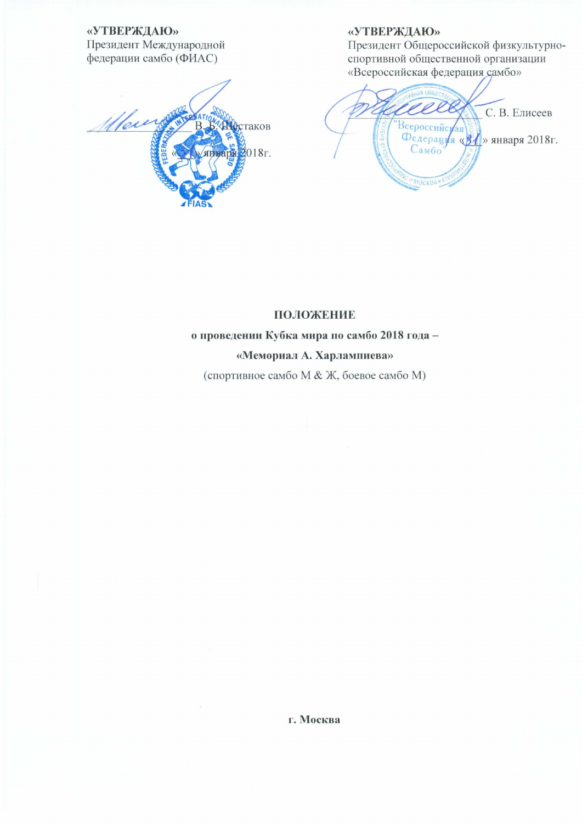«УТВЕРЖДАЮ»

Президент Международной федерации самбо (ФИАС)

Main АФстаков 2018г. **HBans** 

## «УТВЕРЖДАЮ»

Президент Общероссийской физкультурноспортивной общественной организации «Всероссийская федерация самбо»

 $\rho \rho$ С. В. Елисеев Всероссийси Федерация «ВА» января 2018г. MOCKBA<sup>3</sup>

## ПОЛОЖЕНИЕ

#### о проведении Кубка мира по самбо 2018 года -

#### «Мемориал А. Харлампиева»

(спортивное самбо М & Ж, боевое самбо М)

г. Москва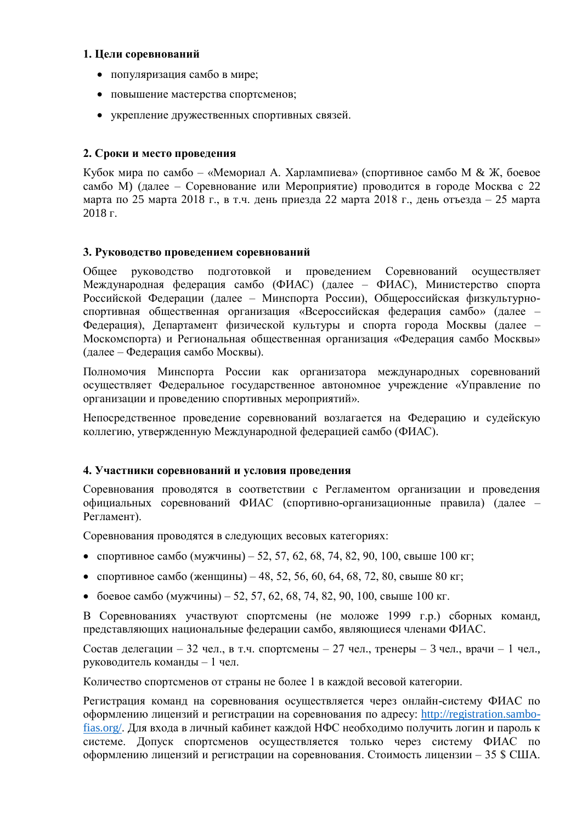## 1. Цели соревнований

- популяризация самбо в мире:
- повышение мастерства спортсменов;
- укрепление дружественных спортивных связей.

## 2. Сроки и место проведения

Кубок мира по самбо – «Мемориал А. Харлампиева» (спортивное самбо М & Ж, боевое самбо М) (далее – Соревнование или Мероприятие) проводится в городе Москва с 22 марта по 25 марта 2018 г., в т.ч. день приезда 22 марта 2018 г., день отъезда – 25 марта 2018 г.

## 3. Руководство проведением соревнований

Общее руководство подготовкой и проведением Соревнований осуществляет Международная федерация самбо (ФИАС) (далее – ФИАС), Министерство спорта Российской Федерации (далее – Минспорта России), Общероссийская физкультурноспортивная общественная организация «Всероссийская федерация самбо» (далее -Федерация), Департамент физической культуры и спорта города Москвы (далее -Москомспорта) и Региональная общественная организация «Федерация самбо Москвы» (далее – Федерация самбо Москвы).

Полномочия Минспорта России как организатора международных соревнований осуществляет Федеральное государственное автономное учреждение «Управление по организации и проведению спортивных мероприятий».

Непосредственное проведение соревнований возлагается на Федерацию и судейскую коллегию, утвержденную Международной федерацией самбо (ФИАС).

## 4. Участники соревнований и условия проведения

Соревнования проводятся в соответствии с Регламентом организации и проведения официальных соревнований ФИАС (спортивно-организационные правила) (далее -Регламент).

Соревнования проводятся в следующих весовых категориях:

- спортивное самбо (мужчины) 52, 57, 62, 68, 74, 82, 90, 100, свыше 100 кг;
- спортивное самбо (женщины) 48, 52, 56, 60, 64, 68, 72, 80, свыше 80 кг;
- боевое самбо (мужчины) 52, 57, 62, 68, 74, 82, 90, 100, свыше 100 кг.

В Соревнованиях участвуют спортсмены (не моложе 1999 г.р.) сборных команд, представляющих национальные федерации самбо, являющиеся членами ФИАС.

Состав делегации – 32 чел., в т.ч. спортсмены – 27 чел., тренеры – 3 чел., врачи – 1 чел., руководитель команды - 1 чел.

Количество спортсменов от страны не более 1 в каждой весовой категории.

Регистрация команд на соревнования осуществляется через онлайн-систему ФИАС по оформлению лицензий и регистрации на соревнования по адресу: http://registration.sambofias.org/. Для входа в личный кабинет каждой НФС необходимо получить логин и пароль к системе. Допуск спортсменов осуществляется только через систему ФИАС по оформлению лицензий и регистрации на соревнования. Стоимость лицензии – 35 \$ США.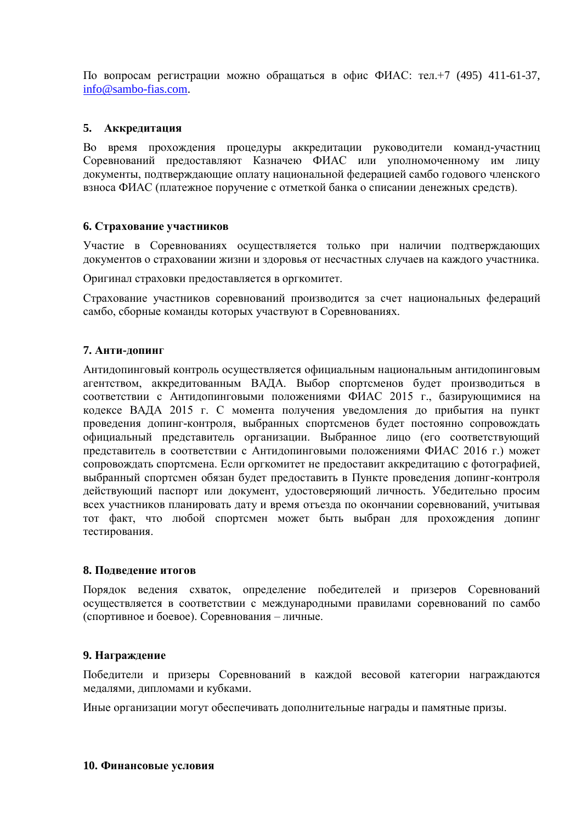По вопросам регистрации можно обращаться в офис ФИАС: тел.+7 (495) 411-61-37, info@sambo-fias.com.

## 5. Аккредитация

Во время прохождения процедуры аккредитации руководители команд-участниц Соревнований предоставляют Казначею ФИАС или уполномоченному им лицу документы, подтверждающие оплату национальной федерацией самбо годового членского взноса ФИАС (платежное поручение с отметкой банка о списании денежных средств).

## 6. Страхование участников

Участие в Соревнованиях осуществляется только при наличии подтверждающих документов о страховании жизни и здоровья от несчастных случаев на каждого участника.

Оригинал страховки предоставляется в оргкомитет.

Страхование участников соревнований производится за счет национальных федераций самбо, сборные команды которых участвуют в Соревнованиях.

## 7. Анти-лопинг

Антидопинговый контроль осуществляется официальным национальным антидопинговым агентством, аккредитованным ВАДА. Выбор спортсменов будет производиться в соответствии с Антидопинговыми положениями ФИАС 2015 г., базирующимися на кодексе ВАДА 2015 г. С момента получения уведомления до прибытия на пункт проведения допинг-контроля, выбранных спортсменов будет постоянно сопровождать официальный представитель организации. Выбранное лицо (его соответствующий представитель в соответствии с Антидопинговыми положениями ФИАС 2016 г.) может сопровождать спортсмена. Если оргкомитет не предоставит аккредитацию с фотографией, выбранный спортсмен обязан будет предоставить в Пункте проведения допинг-контроля действующий паспорт или документ, удостоверяющий личность. Убедительно просим всех участников планировать дату и время отъезда по окончании соревнований, учитывая тот факт, что любой спортсмен может быть выбран для прохождения допинг тестирования.

### 8. Подведение итогов

Порядок ведения схваток, определение победителей и призеров Соревнований осуществляется в соответствии с международными правилами соревнований по самбо (спортивное и боевое). Соревнования - личные.

### 9. Награждение

Победители и призеры Соревнований в каждой весовой категории награждаются медалями, дипломами и кубками.

Иные организации могут обеспечивать дополнительные награды и памятные призы.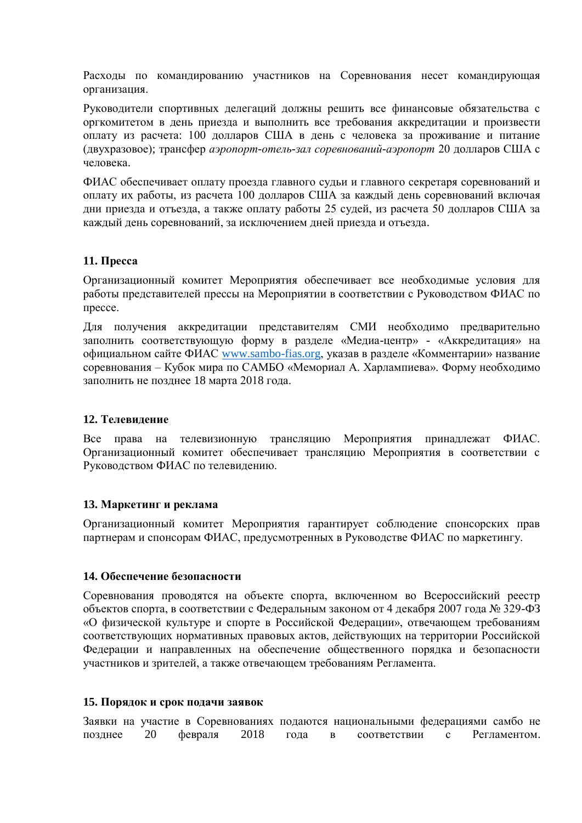Расходы по командированию участников на Соревнования несет командирующая организация.

Руководители спортивных делегаций должны решить все финансовые обязательства с оргкомитетом в день приезда и выполнить все требования аккредитации и произвести оплату из расчета: 100 долларов США в день с человека за проживание и питание (двухразовое); трансфер *аэропорт-отель-зал соревнований-аэропорт* 20 долларов США с человека.

ФИАС обеспечивает оплату проезда главного судьи и главного секретаря соревнований и оплату их работы, из расчета 100 долларов США за каждый день соревнований включая дни приезда и отъезда, а также оплату работы 25 судей, из расчета 50 долларов США за кажлый день соревнований, за исключением дней приезда и отъезда.

## 11. Пресса

Организационный комитет Мероприятия обеспечивает все необходимые условия для работы представителей прессы на Мероприятии в соответствии с Руководством ФИАС по прессе.

Для получения аккредитации представителям СМИ необходимо предварительно заполнить соответствующую форму в разделе «Медиа-центр» - «Аккредитация» на официальном сайте ФИАС www.sambo-fias.org, указав в разделе «Комментарии» название соревнования – Кубок мира по САМБО «Мемориал А. Харлампиева». Форму необходимо заполнить не позднее 18 марта 2018 года.

### 12. Телевидение

Все права на телевизионную трансляцию Мероприятия принадлежат ФИАС. Организационный комитет обеспечивает трансляцию Мероприятия в соответствии с Руководством ФИАС по телевидению.

### 13. Маркетинг и реклама

Организационный комитет Мероприятия гарантирует соблюдение спонсорских прав партнерам и спонсорам ФИАС, предусмотренных в Руководстве ФИАС по маркетингу.

### 14. Обеспечение безопасности

Соревнования проводятся на объекте спорта, включенном во Всероссийский реестр объектов спорта, в соответствии с Федеральным законом от 4 декабря 2007 года № 329-ФЗ «О физической культуре и спорте в Российской Федерации», отвечающем требованиям соответствующих нормативных правовых актов, действующих на территории Российской Федерации и направленных на обеспечение общественного порядка и безопасности участников и зрителей, а также отвечающем требованиям Регламента.

#### 15. Порядок и срок подачи заявок

Заявки на участие в Соревнованиях подаются национальными федерациями самбо не февраля Регламентом. позлнее 20 2018 года соответствии  $\mathbf{c}$  $\bf{B}$